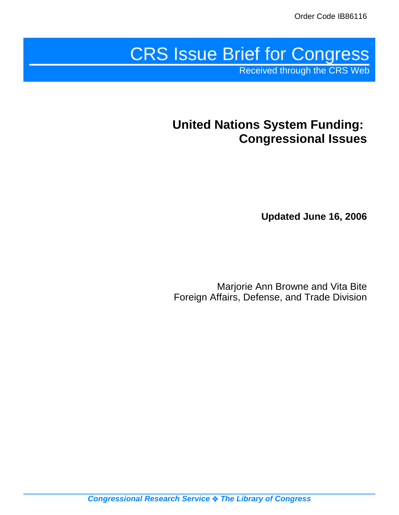# CRS Issue Brief for Congress

Received through the CRS Web

# **United Nations System Funding: Congressional Issues**

**Updated June 16, 2006**

Marjorie Ann Browne and Vita Bite Foreign Affairs, Defense, and Trade Division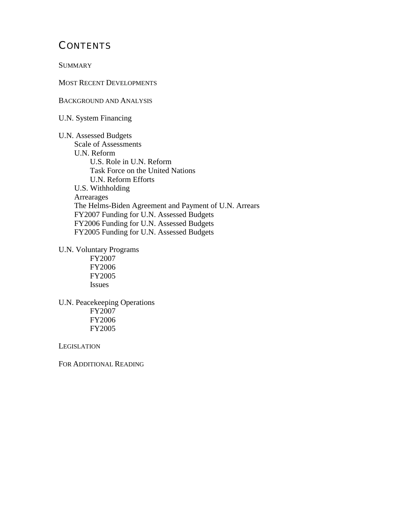# **CONTENTS**

**SUMMARY** 

MOST RECENT DEVELOPMENTS

BACKGROUND AND ANALYSIS

U.N. System Financing

U.N. Assessed Budgets Scale of Assessments U.N. Reform U.S. Role in U.N. Reform Task Force on the United Nations U.N. Reform Efforts U.S. Withholding Arrearages The Helms-Biden Agreement and Payment of U.N. Arrears FY2007 Funding for U.N. Assessed Budgets FY2006 Funding for U.N. Assessed Budgets FY2005 Funding for U.N. Assessed Budgets

U.N. Voluntary Programs

FY2007 FY2006 FY2005 Issues

U.N. Peacekeeping Operations FY2007 FY2006 FY2005

**LEGISLATION** 

FOR ADDITIONAL READING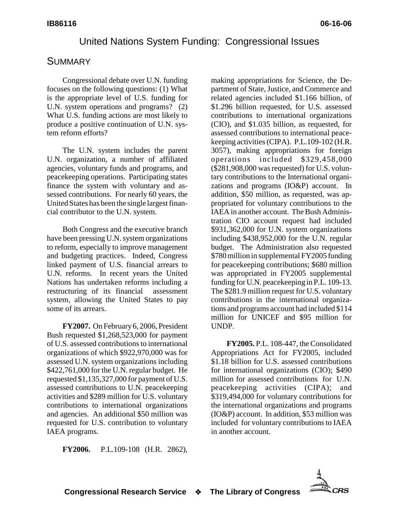## United Nations System Funding: Congressional Issues

# **SUMMARY**

Congressional debate over U.N. funding focuses on the following questions: (1) What is the appropriate level of U.S. funding for U.N. system operations and programs? (2) What U.S. funding actions are most likely to produce a positive continuation of U.N. system reform efforts?

The U.N. system includes the parent U.N. organization, a number of affiliated agencies, voluntary funds and programs, and peacekeeping operations. Participating states finance the system with voluntary and assessed contributions. For nearly 60 years, the United States has been the single largest financial contributor to the U.N. system.

Both Congress and the executive branch have been pressing U.N. system organizations to reform, especially to improve management and budgeting practices. Indeed, Congress linked payment of U.S. financial arrears to U.N. reforms. In recent years the United Nations has undertaken reforms including a restructuring of its financial assessment system, allowing the United States to pay some of its arrears.

**FY2007.** On February 6, 2006, President Bush requested \$1,268,523,000 for payment of U.S. assessed contributions to international organizations of which \$922,970,000 was for assessed U.N. system organizations including \$422,761,000 for the U.N. regular budget. He requested \$1,135,327,000 for payment of U.S. assessed contributions to U.N. peacekeeping activities and \$289 million for U.S. voluntary contributions to international organizations and agencies. An additional \$50 million was requested for U.S. contribution to voluntary IAEA programs.

**FY2006.** P.L.109-108 (H.R. 2862),

making appropriations for Science, the Department of State, Justice, and Commerce and related agencies included \$1.166 billion, of \$1.296 billion requested, for U.S. assessed contributions to international organizations (CIO), and \$1.035 billion, as requested, for assessed contributions to international peacekeeping activities (CIPA). P.L.109-102 (H.R. 3057), making appropriations for foreign operations included \$329,458,000 (\$281,908,000 was requested) for U.S. voluntary contributions to the International organizations and programs (IO&P) account. In addition, \$50 million, as requested, was appropriated for voluntary contributions to the IAEA in another account. The Bush Administration CIO account request had included \$931,362,000 for U.N. system organizations including \$438,952,000 for the U.N. regular budget. The Administration also requested \$780 million in supplemental FY2005 funding for peacekeeping contributions; \$680 million was appropriated in FY2005 supplemental funding for U.N. peacekeeping in P.L. 109-13. The \$281.9 million request for U.S. voluntary contributions in the international organizations and programs account had included \$114 million for UNICEF and \$95 million for UNDP.

**FY2005.** P.L. 108-447, the Consolidated Appropriations Act for FY2005, included \$1.18 billion for U.S. assessed contributions for international organizations (CIO); \$490 million for assessed contributions for U.N. peacekeeping activities (CIPA); and \$319,494,000 for voluntary contributions for the international organizations and programs (IO&P) account. In addition, \$53 million was included for voluntary contributions to IAEA in another account.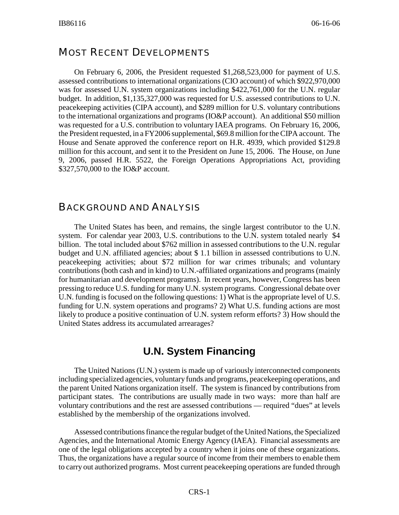## MOST RECENT DEVELOPMENTS

On February 6, 2006, the President requested \$1,268,523,000 for payment of U.S. assessed contributions to international organizations (CIO account) of which \$922,970,000 was for assessed U.N. system organizations including \$422,761,000 for the U.N. regular budget. In addition, \$1,135,327,000 was requested for U.S. assessed contributions to U.N. peacekeeping activities (CIPA account), and \$289 million for U.S. voluntary contributions to the international organizations and programs (IO&P account). An additional \$50 million was requested for a U.S. contribution to voluntary IAEA programs. On February 16, 2006, the President requested, in a FY2006 supplemental, \$69.8 million for the CIPA account. The House and Senate approved the conference report on H.R. 4939, which provided \$129.8 million for this account, and sent it to the President on June 15, 2006. The House, on June 9, 2006, passed H.R. 5522, the Foreign Operations Appropriations Act, providing \$327,570,000 to the IO&P account.

#### BACKGROUND AND ANALYSIS

The United States has been, and remains, the single largest contributor to the U.N. system. For calendar year 2003, U.S. contributions to the U.N. system totaled nearly \$4 billion. The total included about \$762 million in assessed contributions to the U.N. regular budget and U.N. affiliated agencies; about \$ 1.1 billion in assessed contributions to U.N. peacekeeping activities; about \$72 million for war crimes tribunals; and voluntary contributions (both cash and in kind) to U.N.-affiliated organizations and programs (mainly for humanitarian and development programs). In recent years, however, Congress has been pressing to reduce U.S. funding for many U.N. system programs. Congressional debate over U.N. funding is focused on the following questions: 1) What is the appropriate level of U.S. funding for U.N. system operations and programs? 2) What U.S. funding actions are most likely to produce a positive continuation of U.N. system reform efforts? 3) How should the United States address its accumulated arrearages?

# **U.N. System Financing**

The United Nations (U.N.) system is made up of variously interconnected components including specialized agencies, voluntary funds and programs, peacekeeping operations, and the parent United Nations organization itself. The system is financed by contributions from participant states. The contributions are usually made in two ways: more than half are voluntary contributions and the rest are assessed contributions — required "dues" at levels established by the membership of the organizations involved.

Assessed contributions finance the regular budget of the United Nations, the Specialized Agencies, and the International Atomic Energy Agency (IAEA). Financial assessments are one of the legal obligations accepted by a country when it joins one of these organizations. Thus, the organizations have a regular source of income from their members to enable them to carry out authorized programs. Most current peacekeeping operations are funded through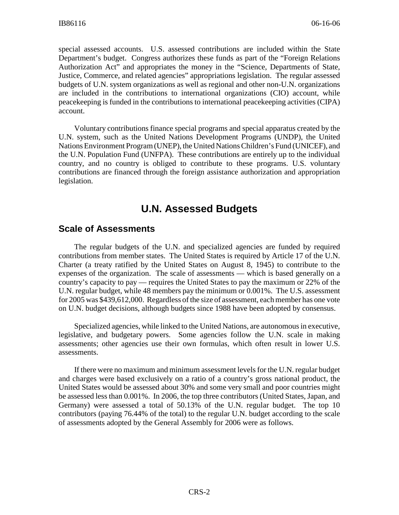special assessed accounts. U.S. assessed contributions are included within the State Department's budget. Congress authorizes these funds as part of the "Foreign Relations Authorization Act" and appropriates the money in the "Science, Departments of State, Justice, Commerce, and related agencies" appropriations legislation. The regular assessed budgets of U.N. system organizations as well as regional and other non-U.N. organizations are included in the contributions to international organizations (CIO) account, while peacekeeping is funded in the contributions to international peacekeeping activities (CIPA) account.

Voluntary contributions finance special programs and special apparatus created by the U.N. system, such as the United Nations Development Programs (UNDP), the United Nations Environment Program (UNEP), the United Nations Children's Fund (UNICEF), and the U.N. Population Fund (UNFPA). These contributions are entirely up to the individual country, and no country is obliged to contribute to these programs. U.S. voluntary contributions are financed through the foreign assistance authorization and appropriation legislation.

# **U.N. Assessed Budgets**

## **Scale of Assessments**

The regular budgets of the U.N. and specialized agencies are funded by required contributions from member states. The United States is required by Article 17 of the U.N. Charter (a treaty ratified by the United States on August 8, 1945) to contribute to the expenses of the organization. The scale of assessments — which is based generally on a country's capacity to pay — requires the United States to pay the maximum or 22% of the U.N. regular budget, while 48 members pay the minimum or 0.001%. The U.S. assessment for 2005 was \$439,612,000. Regardless of the size of assessment, each member has one vote on U.N. budget decisions, although budgets since 1988 have been adopted by consensus.

Specialized agencies, while linked to the United Nations, are autonomous in executive, legislative, and budgetary powers. Some agencies follow the U.N. scale in making assessments; other agencies use their own formulas, which often result in lower U.S. assessments.

If there were no maximum and minimum assessment levels for the U.N. regular budget and charges were based exclusively on a ratio of a country's gross national product, the United States would be assessed about 30% and some very small and poor countries might be assessed less than 0.001%. In 2006, the top three contributors (United States, Japan, and Germany) were assessed a total of 50.13% of the U.N. regular budget. The top 10 contributors (paying 76.44% of the total) to the regular U.N. budget according to the scale of assessments adopted by the General Assembly for 2006 were as follows.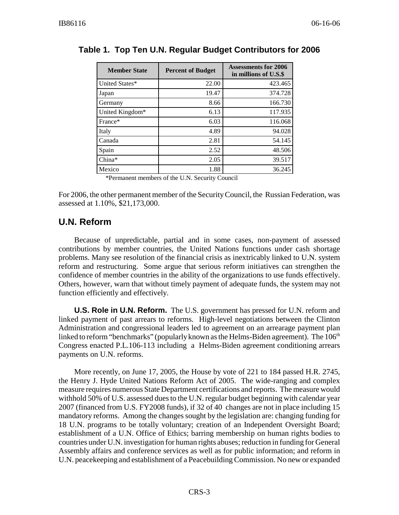| <b>Member State</b> | <b>Percent of Budget</b> | <b>Assessments for 2006</b><br>in millions of U.S.\$ |  |
|---------------------|--------------------------|------------------------------------------------------|--|
| United States*      | 22.00                    | 423.465                                              |  |
| Japan               | 19.47                    | 374.728                                              |  |
| Germany             | 8.66                     | 166.730                                              |  |
| United Kingdom*     | 6.13                     | 117.935                                              |  |
| France*             | 6.03                     | 116.068                                              |  |
| Italy               | 4.89                     | 94.028                                               |  |
| Canada              | 2.81                     | 54.145                                               |  |
| Spain               | 2.52                     | 48.506                                               |  |
| $China*$            | 2.05                     | 39.517                                               |  |
| Mexico              | 1.88                     | 36.245                                               |  |

#### **Table 1. Top Ten U.N. Regular Budget Contributors for 2006**

\*Permanent members of the U.N. Security Council

For 2006, the other permanent member of the Security Council, the Russian Federation, was assessed at 1.10%, \$21,173,000.

## **U.N. Reform**

Because of unpredictable, partial and in some cases, non-payment of assessed contributions by member countries, the United Nations functions under cash shortage problems. Many see resolution of the financial crisis as inextricably linked to U.N. system reform and restructuring. Some argue that serious reform initiatives can strengthen the confidence of member countries in the ability of the organizations to use funds effectively. Others, however, warn that without timely payment of adequate funds, the system may not function efficiently and effectively.

**U.S. Role in U.N. Reform.** The U.S. government has pressed for U.N. reform and linked payment of past arrears to reforms. High-level negotiations between the Clinton Administration and congressional leaders led to agreement on an arrearage payment plan linked to reform "benchmarks" (popularly known as the Helms-Biden agreement). The  $106<sup>th</sup>$ Congress enacted P.L.106-113 including a Helms-Biden agreement conditioning arrears payments on U.N. reforms.

More recently, on June 17, 2005, the House by vote of 221 to 184 passed H.R. 2745, the Henry J. Hyde United Nations Reform Act of 2005. The wide-ranging and complex measure requires numerous State Department certifications and reports. The measure would withhold 50% of U.S. assessed dues to the U.N. regular budget beginning with calendar year 2007 (financed from U.S. FY2008 funds), if 32 of 40 changes are not in place including 15 mandatory reforms. Among the changes sought by the legislation are: changing funding for 18 U.N. programs to be totally voluntary; creation of an Independent Oversight Board; establishment of a U.N. Office of Ethics; barring membership on human rights bodies to countries under U.N. investigation for human rights abuses; reduction in funding for General Assembly affairs and conference services as well as for public information; and reform in U.N. peacekeeping and establishment of a Peacebuilding Commission. No new or expanded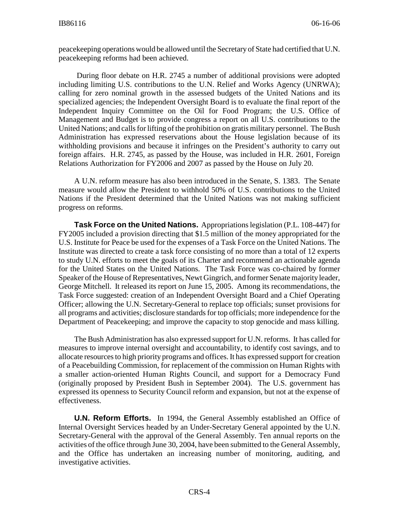peacekeeping operations would be allowed until the Secretary of State had certified that U.N. peacekeeping reforms had been achieved.

 During floor debate on H.R. 2745 a number of additional provisions were adopted including limiting U.S. contributions to the U.N. Relief and Works Agency (UNRWA); calling for zero nominal growth in the assessed budgets of the United Nations and its specialized agencies; the Independent Oversight Board is to evaluate the final report of the Independent Inquiry Committee on the Oil for Food Program; the U.S. Office of Management and Budget is to provide congress a report on all U.S. contributions to the United Nations; and calls for lifting of the prohibition on gratis military personnel. The Bush Administration has expressed reservations about the House legislation because of its withholding provisions and because it infringes on the President's authority to carry out foreign affairs. H.R. 2745, as passed by the House, was included in H.R. 2601, Foreign Relations Authorization for FY2006 and 2007 as passed by the House on July 20.

A U.N. reform measure has also been introduced in the Senate, S. 1383. The Senate measure would allow the President to withhold 50% of U.S. contributions to the United Nations if the President determined that the United Nations was not making sufficient progress on reforms.

**Task Force on the United Nations.** Appropriations legislation (P.L. 108-447) for FY2005 included a provision directing that \$1.5 million of the money appropriated for the U.S. Institute for Peace be used for the expenses of a Task Force on the United Nations. The Institute was directed to create a task force consisting of no more than a total of 12 experts to study U.N. efforts to meet the goals of its Charter and recommend an actionable agenda for the United States on the United Nations. The Task Force was co-chaired by former Speaker of the House of Representatives, Newt Gingrich, and former Senate majority leader, George Mitchell. It released its report on June 15, 2005. Among its recommendations, the Task Force suggested: creation of an Independent Oversight Board and a Chief Operating Officer; allowing the U.N. Secretary-General to replace top officials; sunset provisions for all programs and activities; disclosure standards for top officials; more independence for the Department of Peacekeeping; and improve the capacity to stop genocide and mass killing.

The Bush Administration has also expressed support for U.N. reforms. It has called for measures to improve internal oversight and accountability, to identify cost savings, and to allocate resources to high priority programs and offices. It has expressed support for creation of a Peacebuilding Commission, for replacement of the commission on Human Rights with a smaller action-oriented Human Rights Council, and support for a Democracy Fund (originally proposed by President Bush in September 2004). The U.S. government has expressed its openness to Security Council reform and expansion, but not at the expense of effectiveness.

**U.N. Reform Efforts.** In 1994, the General Assembly established an Office of Internal Oversight Services headed by an Under-Secretary General appointed by the U.N. Secretary-General with the approval of the General Assembly. Ten annual reports on the activities of the office through June 30, 2004, have been submitted to the General Assembly, and the Office has undertaken an increasing number of monitoring, auditing, and investigative activities.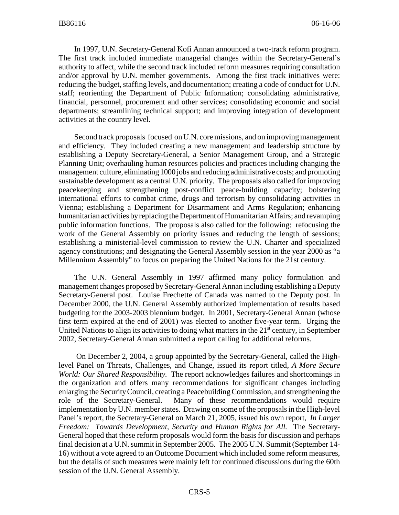In 1997, U.N. Secretary-General Kofi Annan announced a two-track reform program. The first track included immediate managerial changes within the Secretary-General's authority to affect, while the second track included reform measures requiring consultation and/or approval by U.N. member governments. Among the first track initiatives were: reducing the budget, staffing levels, and documentation; creating a code of conduct for U.N. staff; reorienting the Department of Public Information; consolidating administrative, financial, personnel, procurement and other services; consolidating economic and social departments; streamlining technical support; and improving integration of development activities at the country level.

Second track proposals focused on U.N. core missions, and on improving management and efficiency. They included creating a new management and leadership structure by establishing a Deputy Secretary-General, a Senior Management Group, and a Strategic Planning Unit; overhauling human resources policies and practices including changing the management culture, eliminating 1000 jobs and reducing administrative costs; and promoting sustainable development as a central U.N. priority. The proposals also called for improving peacekeeping and strengthening post-conflict peace-building capacity; bolstering international efforts to combat crime, drugs and terrorism by consolidating activities in Vienna; establishing a Department for Disarmament and Arms Regulation; enhancing humanitarian activities by replacing the Department of Humanitarian Affairs; and revamping public information functions. The proposals also called for the following: refocusing the work of the General Assembly on priority issues and reducing the length of sessions; establishing a ministerial-level commission to review the U.N. Charter and specialized agency constitutions; and designating the General Assembly session in the year 2000 as "a Millennium Assembly" to focus on preparing the United Nations for the 21st century.

The U.N. General Assembly in 1997 affirmed many policy formulation and management changes proposed by Secretary-General Annan including establishing a Deputy Secretary-General post. Louise Frechette of Canada was named to the Deputy post. In December 2000, the U.N. General Assembly authorized implementation of results based budgeting for the 2003-2003 biennium budget. In 2001, Secretary-General Annan (whose first term expired at the end of 2001) was elected to another five-year term. Urging the United Nations to align its activities to doing what matters in the  $21<sup>st</sup>$  century, in September 2002, Secretary-General Annan submitted a report calling for additional reforms.

 On December 2, 2004, a group appointed by the Secretary-General, called the Highlevel Panel on Threats, Challenges, and Change, issued its report titled, *A More Secure World: Our Shared Responsibility.* The report acknowledges failures and shortcomings in the organization and offers many recommendations for significant changes including enlarging the Security Council, creating a Peacebuilding Commission, and strengthening the role of the Secretary-General. Many of these recommendations would require implementation by U.N. member states. Drawing on some of the proposals in the High-level Panel's report, the Secretary-General on March 21, 2005, issued his own report, *In Larger Freedom: Towards Development, Security and Human Rights for All.* The Secretary-General hoped that these reform proposals would form the basis for discussion and perhaps final decision at a U.N. summit in September 2005. The 2005 U.N. Summit (September 14- 16) without a vote agreed to an Outcome Document which included some reform measures, but the details of such measures were mainly left for continued discussions during the 60th session of the U.N. General Assembly.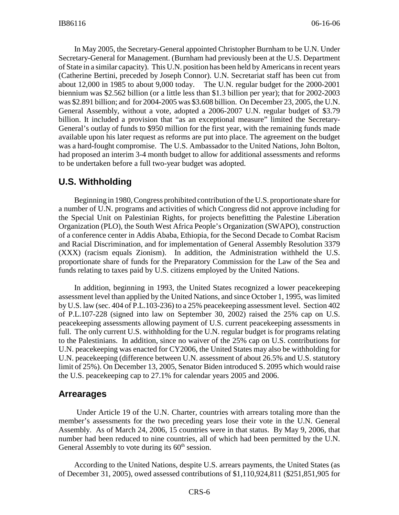In May 2005, the Secretary-General appointed Christopher Burnham to be U.N. Under Secretary-General for Management. (Burnham had previously been at the U.S. Department of State in a similar capacity). This U.N. position has been held by Americans in recent years (Catherine Bertini, preceded by Joseph Connor). U.N. Secretariat staff has been cut from about 12,000 in 1985 to about 9,000 today. The U.N. regular budget for the 2000-2001 biennium was \$2.562 billion (or a little less than \$1.3 billion per year); that for 2002-2003 was \$2.891 billion; and for 2004-2005 was \$3.608 billion. On December 23, 2005, the U.N. General Assembly, without a vote, adopted a 2006-2007 U.N. regular budget of \$3.79 billion. It included a provision that "as an exceptional measure" limited the Secretary-General's outlay of funds to \$950 million for the first year, with the remaining funds made available upon his later request as reforms are put into place. The agreement on the budget was a hard-fought compromise. The U.S. Ambassador to the United Nations, John Bolton, had proposed an interim 3-4 month budget to allow for additional assessments and reforms to be undertaken before a full two-year budget was adopted.

## **U.S. Withholding**

Beginning in 1980, Congress prohibited contribution of the U.S. proportionate share for a number of U.N. programs and activities of which Congress did not approve including for the Special Unit on Palestinian Rights, for projects benefitting the Palestine Liberation Organization (PLO), the South West Africa People's Organization (SWAPO), construction of a conference center in Addis Ababa, Ethiopia, for the Second Decade to Combat Racism and Racial Discrimination, and for implementation of General Assembly Resolution 3379 (XXX) (racism equals Zionism). In addition, the Administration withheld the U.S. proportionate share of funds for the Preparatory Commission for the Law of the Sea and funds relating to taxes paid by U.S. citizens employed by the United Nations.

In addition, beginning in 1993, the United States recognized a lower peacekeeping assessment level than applied by the United Nations, and since October 1, 1995, was limited by U.S. law (sec. 404 of P.L.103-236) to a 25% peacekeeping assessment level. Section 402 of P.L.107-228 (signed into law on September 30, 2002) raised the 25% cap on U.S. peacekeeping assessments allowing payment of U.S. current peacekeeping assessments in full. The only current U.S. withholding for the U.N. regular budget is for programs relating to the Palestinians. In addition, since no waiver of the 25% cap on U.S. contributions for U.N. peacekeeping was enacted for CY2006, the United States may also be withholding for U.N. peacekeeping (difference between U.N. assessment of about 26.5% and U.S. statutory limit of 25%). On December 13, 2005, Senator Biden introduced S. 2095 which would raise the U.S. peacekeeping cap to 27.1% for calendar years 2005 and 2006.

#### **Arrearages**

 Under Article 19 of the U.N. Charter, countries with arrears totaling more than the member's assessments for the two preceding years lose their vote in the U.N. General Assembly. As of March 24, 2006, 15 countries were in that status. By May 9, 2006, that number had been reduced to nine countries, all of which had been permitted by the U.N. General Assembly to vote during its  $60<sup>th</sup>$  session.

According to the United Nations, despite U.S. arrears payments, the United States (as of December 31, 2005), owed assessed contributions of \$1,110,924,811 (\$251,851,905 for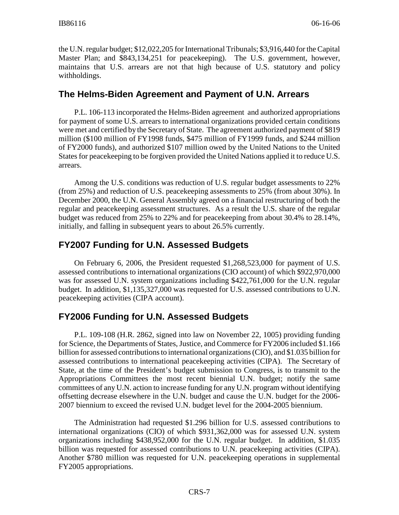the U.N. regular budget; \$12,022,205 for International Tribunals; \$3,916,440 for the Capital Master Plan; and \$843,134,251 for peacekeeping). The U.S. government, however, maintains that U.S. arrears are not that high because of U.S. statutory and policy withholdings.

#### **The Helms-Biden Agreement and Payment of U.N. Arrears**

P.L. 106-113 incorporated the Helms-Biden agreement and authorized appropriations for payment of some U.S. arrears to international organizations provided certain conditions were met and certified by the Secretary of State. The agreement authorized payment of \$819 million (\$100 million of FY1998 funds, \$475 million of FY1999 funds, and \$244 million of FY2000 funds), and authorized \$107 million owed by the United Nations to the United States for peacekeeping to be forgiven provided the United Nations applied it to reduce U.S. arrears.

Among the U.S. conditions was reduction of U.S. regular budget assessments to 22% (from 25%) and reduction of U.S. peacekeeping assessments to 25% (from about 30%). In December 2000, the U.N. General Assembly agreed on a financial restructuring of both the regular and peacekeeping assessment structures. As a result the U.S. share of the regular budget was reduced from 25% to 22% and for peacekeeping from about 30.4% to 28.14%, initially, and falling in subsequent years to about 26.5% currently.

## **FY2007 Funding for U.N. Assessed Budgets**

On February 6, 2006, the President requested \$1,268,523,000 for payment of U.S. assessed contributions to international organizations (CIO account) of which \$922,970,000 was for assessed U.N. system organizations including \$422,761,000 for the U.N. regular budget. In addition, \$1,135,327,000 was requested for U.S. assessed contributions to U.N. peacekeeping activities (CIPA account).

## **FY2006 Funding for U.N. Assessed Budgets**

P.L. 109-108 (H.R. 2862, signed into law on November 22, 1005) providing funding for Science, the Departments of States, Justice, and Commerce for FY2006 included \$1.166 billion for assessed contributions to international organizations (CIO), and \$1.035 billion for assessed contributions to international peacekeeping activities (CIPA). The Secretary of State, at the time of the President's budget submission to Congress, is to transmit to the Appropriations Committees the most recent biennial U.N. budget; notify the same committees of any U.N. action to increase funding for any U.N. program without identifying offsetting decrease elsewhere in the U.N. budget and cause the U.N. budget for the 2006- 2007 biennium to exceed the revised U.N. budget level for the 2004-2005 biennium.

The Administration had requested \$1.296 billion for U.S. assessed contributions to international organizations (CIO) of which \$931,362,000 was for assessed U.N. system organizations including \$438,952,000 for the U.N. regular budget. In addition, \$1.035 billion was requested for assessed contributions to U.N. peacekeeping activities (CIPA). Another \$780 million was requested for U.N. peacekeeping operations in supplemental FY2005 appropriations.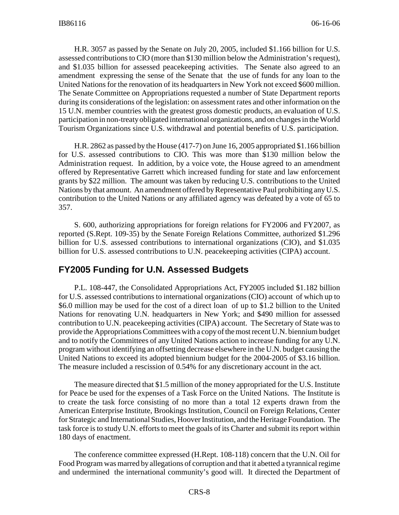H.R. 3057 as passed by the Senate on July 20, 2005, included \$1.166 billion for U.S. assessed contributions to CIO (more than \$130 million below the Administration's request), and \$1.035 billion for assessed peacekeeping activities. The Senate also agreed to an amendment expressing the sense of the Senate that the use of funds for any loan to the United Nations for the renovation of its headquarters in New York not exceed \$600 million. The Senate Committee on Appropriations requested a number of State Department reports during its considerations of the legislation: on assessment rates and other information on the 15 U.N. member countries with the greatest gross domestic products, an evaluation of U.S. participation in non-treaty obligated international organizations, and on changes in the World Tourism Organizations since U.S. withdrawal and potential benefits of U.S. participation.

H.R. 2862 as passed by the House (417-7) on June 16, 2005 appropriated \$1.166 billion for U.S. assessed contributions to CIO. This was more than \$130 million below the Administration request. In addition, by a voice vote, the House agreed to an amendment offered by Representative Garrett which increased funding for state and law enforcement grants by \$22 million. The amount was taken by reducing U.S. contributions to the United Nations by that amount. An amendment offered by Representative Paul prohibiting any U.S. contribution to the United Nations or any affiliated agency was defeated by a vote of 65 to 357.

S. 600, authorizing appropriations for foreign relations for FY2006 and FY2007, as reported (S.Rept. 109-35) by the Senate Foreign Relations Committee, authorized \$1.296 billion for U.S. assessed contributions to international organizations (CIO), and \$1.035 billion for U.S. assessed contributions to U.N. peacekeeping activities (CIPA) account.

#### **FY2005 Funding for U.N. Assessed Budgets**

P.L. 108-447, the Consolidated Appropriations Act, FY2005 included \$1.182 billion for U.S. assessed contributions to international organizations (CIO) account of which up to \$6.0 million may be used for the cost of a direct loan of up to \$1.2 billion to the United Nations for renovating U.N. headquarters in New York; and \$490 million for assessed contribution to U.N. peacekeeping activities (CIPA) account. The Secretary of State was to provide the Appropriations Committees with a copy of the most recent U.N. biennium budget and to notify the Committees of any United Nations action to increase funding for any U.N. program without identifying an offsetting decrease elsewhere in the U.N. budget causing the United Nations to exceed its adopted biennium budget for the 2004-2005 of \$3.16 billion. The measure included a rescission of 0.54% for any discretionary account in the act.

The measure directed that \$1.5 million of the money appropriated for the U.S. Institute for Peace be used for the expenses of a Task Force on the United Nations. The Institute is to create the task force consisting of no more than a total 12 experts drawn from the American Enterprise Institute, Brookings Institution, Council on Foreign Relations, Center for Strategic and International Studies, Hoover Institution, and the Heritage Foundation. The task force is to study U.N. efforts to meet the goals of its Charter and submit its report within 180 days of enactment.

The conference committee expressed (H.Rept. 108-118) concern that the U.N. Oil for Food Program was marred by allegations of corruption and that it abetted a tyrannical regime and undermined the international community's good will. It directed the Department of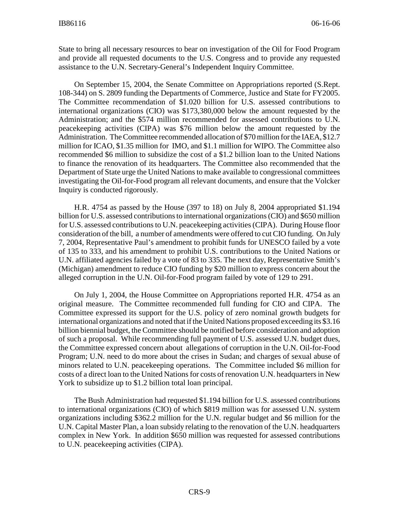State to bring all necessary resources to bear on investigation of the Oil for Food Program and provide all requested documents to the U.S. Congress and to provide any requested assistance to the U.N. Secretary-General's Independent Inquiry Committee.

On September 15, 2004, the Senate Committee on Appropriations reported (S.Rept. 108-344) on S. 2809 funding the Departments of Commerce, Justice and State for FY2005. The Committee recommendation of \$1.020 billion for U.S. assessed contributions to international organizations (CIO) was \$173,380,000 below the amount requested by the Administration; and the \$574 million recommended for assessed contributions to U.N. peacekeeping activities (CIPA) was \$76 million below the amount requested by the Administration. The Committee recommended allocation of \$70 million for the IAEA, \$12.7 million for ICAO, \$1.35 million for IMO, and \$1.1 million for WIPO. The Committee also recommended \$6 million to subsidize the cost of a \$1.2 billion loan to the United Nations to finance the renovation of its headquarters. The Committee also recommended that the Department of State urge the United Nations to make available to congressional committees investigating the Oil-for-Food program all relevant documents, and ensure that the Volcker Inquiry is conducted rigorously.

H.R. 4754 as passed by the House (397 to 18) on July 8, 2004 appropriated \$1.194 billion for U.S. assessed contributions to international organizations (CIO) and \$650 million for U.S. assessed contributions to U.N. peacekeeping activities (CIPA). During House floor consideration of the bill, a number of amendments were offered to cut CIO funding. On July 7, 2004, Representative Paul's amendment to prohibit funds for UNESCO failed by a vote of 135 to 333, and his amendment to prohibit U.S. contributions to the United Nations or U.N. affiliated agencies failed by a vote of 83 to 335. The next day, Representative Smith's (Michigan) amendment to reduce CIO funding by \$20 million to express concern about the alleged corruption in the U.N. Oil-for-Food program failed by vote of 129 to 291.

On July 1, 2004, the House Committee on Appropriations reported H.R. 4754 as an original measure. The Committee recommended full funding for CIO and CIPA. The Committee expressed its support for the U.S. policy of zero nominal growth budgets for international organizations and noted that if the United Nations proposed exceeding its \$3.16 billion biennial budget, the Committee should be notified before consideration and adoption of such a proposal. While recommending full payment of U.S. assessed U.N. budget dues, the Committee expressed concern about allegations of corruption in the U.N. Oil-for-Food Program; U.N. need to do more about the crises in Sudan; and charges of sexual abuse of minors related to U.N. peacekeeping operations. The Committee included \$6 million for costs of a direct loan to the United Nations for costs of renovation U.N. headquarters in New York to subsidize up to \$1.2 billion total loan principal.

The Bush Administration had requested \$1.194 billion for U.S. assessed contributions to international organizations (CIO) of which \$819 million was for assessed U.N. system organizations including \$362.2 million for the U.N. regular budget and \$6 million for the U.N. Capital Master Plan, a loan subsidy relating to the renovation of the U.N. headquarters complex in New York. In addition \$650 million was requested for assessed contributions to U.N. peacekeeping activities (CIPA).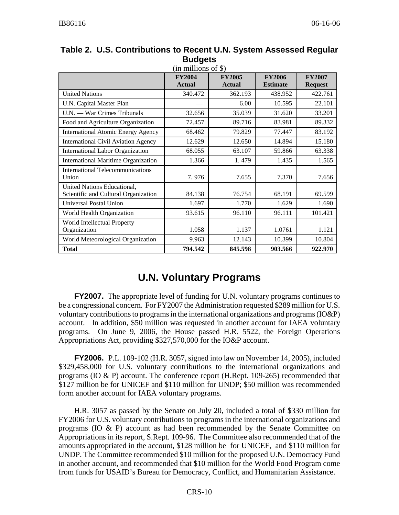|                                                                     | <b>FY2004</b><br><b>Actual</b> | <b>FY2005</b><br><b>Actual</b> | <b>FY2006</b><br><b>Estimate</b> | <b>FY2007</b><br><b>Request</b> |
|---------------------------------------------------------------------|--------------------------------|--------------------------------|----------------------------------|---------------------------------|
| <b>United Nations</b>                                               | 340.472                        | 362.193                        | 438.952                          | 422.761                         |
| U.N. Capital Master Plan                                            |                                | 6.00                           | 10.595                           | 22.101                          |
| U.N. — War Crimes Tribunals                                         | 32.656                         | 35.039                         | 31.620                           | 33.201                          |
| Food and Agriculture Organization                                   | 72.457                         | 89.716                         | 83.981                           | 89.332                          |
| <b>International Atomic Energy Agency</b>                           | 68.462                         | 79.829                         | 77.447                           | 83.192                          |
| <b>International Civil Aviation Agency</b>                          | 12.629                         | 12.650                         | 14.894                           | 15.180                          |
| <b>International Labor Organization</b>                             | 68.055                         | 63.107                         | 59.866                           | 63.338                          |
| <b>International Maritime Organization</b>                          | 1.366                          | 1.479                          | 1.435                            | 1.565                           |
| <b>International Telecommunications</b><br>Union                    | 7.976                          | 7.655                          | 7.370                            | 7.656                           |
| United Nations Educational,<br>Scientific and Cultural Organization | 84.138                         | 76.754                         | 68.191                           | 69.599                          |
| Universal Postal Union                                              | 1.697                          | 1.770                          | 1.629                            | 1.690                           |
| World Health Organization                                           | 93.615                         | 96.110                         | 96.111                           | 101.421                         |
| World Intellectual Property<br>Organization                         | 1.058                          | 1.137                          | 1.0761                           | 1.121                           |
| World Meteorological Organization                                   | 9.963                          | 12.143                         | 10.399                           | 10.804                          |
| <b>Total</b>                                                        | 794.542                        | 845.598                        | 903.566                          | 922.970                         |

**Table 2. U.S. Contributions to Recent U.N. System Assessed Regular Budgets**

# **U.N. Voluntary Programs**

**FY2007.** The appropriate level of funding for U.N. voluntary programs continues to be a congressional concern. For FY2007 the Administration requested \$289 million for U.S. voluntary contributions to programs in the international organizations and programs (IO&P) account. In addition, \$50 million was requested in another account for IAEA voluntary programs. On June 9, 2006, the House passed H.R. 5522, the Foreign Operations Appropriations Act, providing \$327,570,000 for the IO&P account.

**FY2006.** P.L. 109-102 (H.R. 3057, signed into law on November 14, 2005), included \$329,458,000 for U.S. voluntary contributions to the international organizations and programs (IO & P) account. The conference report (H.Rept. 109-265) recommended that \$127 million be for UNICEF and \$110 million for UNDP; \$50 million was recommended form another account for IAEA voluntary programs.

H.R. 3057 as passed by the Senate on July 20, included a total of \$330 million for FY2006 for U.S. voluntary contributions to programs in the international organizations and programs (IO  $\&$  P) account as had been recommended by the Senate Committee on Appropriations in its report, S.Rept. 109-96. The Committee also recommended that of the amounts appropriated in the account, \$128 million be for UNICEF, and \$110 million for UNDP. The Committee recommended \$10 million for the proposed U.N. Democracy Fund in another account, and recommended that \$10 million for the World Food Program come from funds for USAID's Bureau for Democracy, Conflict, and Humanitarian Assistance.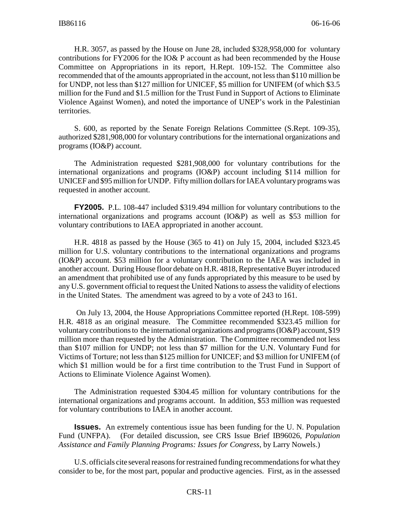H.R. 3057, as passed by the House on June 28, included \$328,958,000 for voluntary contributions for FY2006 for the IO& P account as had been recommended by the House Committee on Appropriations in its report, H.Rept. 109-152. The Committee also recommended that of the amounts appropriated in the account, not less than \$110 million be for UNDP, not less than \$127 million for UNICEF, \$5 million for UNIFEM (of which \$3.5 million for the Fund and \$1.5 million for the Trust Fund in Support of Actions to Eliminate Violence Against Women), and noted the importance of UNEP's work in the Palestinian territories.

S. 600, as reported by the Senate Foreign Relations Committee (S.Rept. 109-35), authorized \$281,908,000 for voluntary contributions for the international organizations and programs (IO&P) account.

The Administration requested \$281,908,000 for voluntary contributions for the international organizations and programs (IO&P) account including \$114 million for UNICEF and \$95 million for UNDP. Fifty million dollars for IAEA voluntary programs was requested in another account.

**FY2005.** P.L. 108-447 included \$319.494 million for voluntary contributions to the international organizations and programs account (IO&P) as well as \$53 million for voluntary contributions to IAEA appropriated in another account.

H.R. 4818 as passed by the House (365 to 41) on July 15, 2004, included \$323.45 million for U.S. voluntary contributions to the international organizations and programs (IO&P) account. \$53 million for a voluntary contribution to the IAEA was included in another account. During House floor debate on H.R. 4818, Representative Buyer introduced an amendment that prohibited use of any funds appropriated by this measure to be used by any U.S. government official to request the United Nations to assess the validity of elections in the United States. The amendment was agreed to by a vote of 243 to 161.

 On July 13, 2004, the House Appropriations Committee reported (H.Rept. 108-599) H.R. 4818 as an original measure. The Committee recommended \$323.45 million for voluntary contributions to the international organizations and programs (IO&P) account, \$19 million more than requested by the Administration. The Committee recommended not less than \$107 million for UNDP; not less than \$7 million for the U.N. Voluntary Fund for Victims of Torture; not less than \$125 million for UNICEF; and \$3 million for UNIFEM (of which \$1 million would be for a first time contribution to the Trust Fund in Support of Actions to Eliminate Violence Against Women).

The Administration requested \$304.45 million for voluntary contributions for the international organizations and programs account. In addition, \$53 million was requested for voluntary contributions to IAEA in another account.

**Issues.** An extremely contentious issue has been funding for the U.N. Population Fund (UNFPA). (For detailed discussion, see CRS Issue Brief IB96026, *Population Assistance and Family Planning Programs: Issues for Congress*, by Larry Nowels.)

U.S. officials cite several reasons for restrained funding recommendations for what they consider to be, for the most part, popular and productive agencies. First, as in the assessed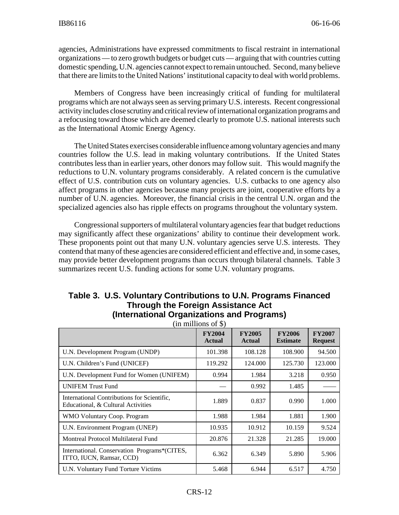agencies, Administrations have expressed commitments to fiscal restraint in international organizations — to zero growth budgets or budget cuts — arguing that with countries cutting domestic spending, U.N. agencies cannot expect to remain untouched. Second, many believe that there are limits to the United Nations' institutional capacity to deal with world problems.

Members of Congress have been increasingly critical of funding for multilateral programs which are not always seen as serving primary U.S. interests. Recent congressional activity includes close scrutiny and critical review of international organization programs and a refocusing toward those which are deemed clearly to promote U.S. national interests such as the International Atomic Energy Agency.

The United States exercises considerable influence among voluntary agencies and many countries follow the U.S. lead in making voluntary contributions. If the United States contributes less than in earlier years, other donors may follow suit. This would magnify the reductions to U.N. voluntary programs considerably. A related concern is the cumulative effect of U.S. contribution cuts on voluntary agencies. U.S. cutbacks to one agency also affect programs in other agencies because many projects are joint, cooperative efforts by a number of U.N. agencies. Moreover, the financial crisis in the central U.N. organ and the specialized agencies also has ripple effects on programs throughout the voluntary system.

Congressional supporters of multilateral voluntary agencies fear that budget reductions may significantly affect these organizations' ability to continue their development work. These proponents point out that many U.N. voluntary agencies serve U.S. interests. They contend that many of these agencies are considered efficient and effective and, in some cases, may provide better development programs than occurs through bilateral channels. Table 3 summarizes recent U.S. funding actions for some U.N. voluntary programs.

|                                                                                   | <b>FY2004</b><br><b>Actual</b> | <b>FY2005</b><br><b>Actual</b> | <b>FY2006</b><br><b>Estimate</b> | <b>FY2007</b><br><b>Request</b> |
|-----------------------------------------------------------------------------------|--------------------------------|--------------------------------|----------------------------------|---------------------------------|
| U.N. Development Program (UNDP)                                                   | 101.398                        | 108.128                        | 108.900                          | 94.500                          |
| U.N. Children's Fund (UNICEF)                                                     | 119.292                        | 124.000                        | 125.730                          | 123,000                         |
| U.N. Development Fund for Women (UNIFEM)                                          | 0.994                          | 1.984                          | 3.218                            | 0.950                           |
| <b>UNIFEM Trust Fund</b>                                                          |                                | 0.992                          | 1.485                            |                                 |
| International Contributions for Scientific.<br>Educational, & Cultural Activities | 1.889                          | 0.837                          | 0.990                            | 1.000                           |
| WMO Voluntary Coop. Program                                                       | 1.988                          | 1.984                          | 1.881                            | 1.900                           |
| U.N. Environment Program (UNEP)                                                   | 10.935                         | 10.912                         | 10.159                           | 9.524                           |
| Montreal Protocol Multilateral Fund                                               | 20.876                         | 21.328                         | 21.285                           | 19.000                          |
| International. Conservation Programs*(CITES,<br>ITTO, IUCN, Ramsar, CCD)          | 6.362                          | 6.349                          | 5.890                            | 5.906                           |
| U.N. Voluntary Fund Torture Victims                                               | 5.468                          | 6.944                          | 6.517                            | 4.750                           |

#### **Table 3. U.S. Voluntary Contributions to U.N. Programs Financed Through the Foreign Assistance Act (International Organizations and Programs)**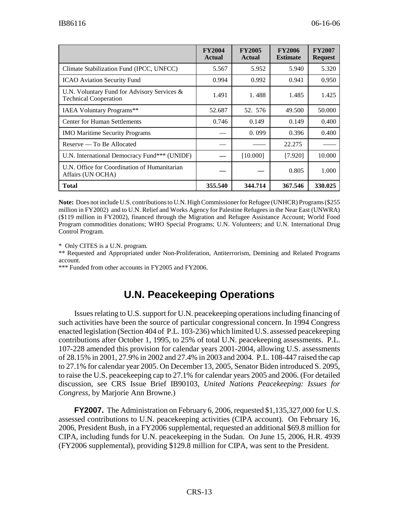|                                                                             | <b>FY2004</b><br><b>Actual</b> | <b>FY2005</b><br><b>Actual</b> | <b>FY2006</b><br><b>Estimate</b> | <b>FY2007</b><br><b>Request</b> |
|-----------------------------------------------------------------------------|--------------------------------|--------------------------------|----------------------------------|---------------------------------|
| Climate Stabilization Fund (IPCC, UNFCC)                                    | 5.567                          | 5.952                          | 5.940                            | 5.320                           |
| <b>ICAO</b> Aviation Security Fund                                          | 0.994                          | 0.992                          | 0.941                            | 0.950                           |
| U.N. Voluntary Fund for Advisory Services &<br><b>Technical Cooperation</b> | 1.491                          | 1.488                          | 1.485                            | 1.425                           |
| <b>IAEA Voluntary Programs**</b>                                            | 52.687                         | 52. 576                        | 49.500                           | 50.000                          |
| <b>Center for Human Settlements</b>                                         | 0.746                          | 0.149                          | 0.149                            | 0.400                           |
| <b>IMO Maritime Security Programs</b>                                       |                                | 0.099                          | 0.396                            | 0.400                           |
| Reserve — To Be Allocated                                                   |                                |                                | 22.275                           |                                 |
| U.N. International Democracy Fund*** (UNIDF)                                |                                | [10.000]                       | [7.920]                          | 10.000                          |
| U.N. Office for Coordination of Humanitarian<br>Affairs (UN OCHA)           |                                |                                | 0.805                            | 1.000                           |
| Total                                                                       | 355.540                        | 344.714                        | 367.546                          | 330.025                         |

**Note:** Does not include U.S. contributions to U.N. High Commissioner for Refugee (UNHCR) Programs (\$255 million in FY2002) and to U.N. Relief and Works Agency for Palestine Refugees in the Near East (UNWRA) (\$119 million in FY2002), financed through the Migration and Refugee Assistance Account; World Food Program commodities donations; WHO Special Programs; U.N. Volunteers; and U.N. International Drug Control Program.

\* Only CITES is a U.N. program.

\*\* Requested and Appropriated under Non-Proliferation, Antiterrorism, Demining and Related Programs account.

\*\*\* Funded from other accounts in FY2005 and FY2006.

# **U.N. Peacekeeping Operations**

Issues relating to U.S. support for U.N. peacekeeping operations including financing of such activities have been the source of particular congressional concern. In 1994 Congress enacted legislation (Section 404 of P.L. 103-236) which limited U.S. assessed peacekeeping contributions after October 1, 1995, to 25% of total U.N. peacekeeping assessments. P.L. 107-228 amended this provision for calendar years 2001-2004, allowing U.S. assessments of 28.15% in 2001, 27.9% in 2002 and 27.4% in 2003 and 2004. P.L. 108-447 raised the cap to 27.1% for calendar year 2005. On December 13, 2005, Senator Biden introduced S. 2095, to raise the U.S. peacekeeping cap to 27.1% for calendar years 2005 and 2006. (For detailed discussion, see CRS Issue Brief IB90103, *United Nations Peacekeeping: Issues for Congress*, by Marjorie Ann Browne.)

**FY2007.** The Administration on February 6, 2006, requested \$1,135,327,000 for U.S. assessed contributions to U.N. peacekeeping activities (CIPA account). On February 16, 2006, President Bush, in a FY2006 supplemental, requested an additional \$69.8 million for CIPA, including funds for U.N. peacekeeping in the Sudan. On June 15, 2006, H.R. 4939 (FY2006 supplemental), providing \$129.8 million for CIPA, was sent to the President.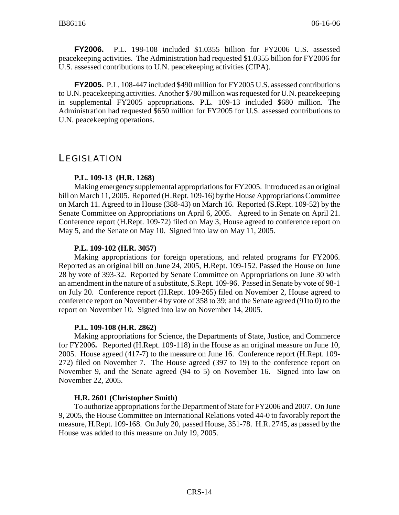**FY2006.** P.L. 198-108 included \$1.0355 billion for FY2006 U.S. assessed peacekeeping activities. The Administration had requested \$1.0355 billion for FY2006 for U.S. assessed contributions to U.N. peacekeeping activities (CIPA).

**FY2005.** P.L. 108-447 included \$490 million for FY2005 U.S. assessed contributions to U.N. peacekeeping activities. Another \$780 million was requested for U.N. peacekeeping in supplemental FY2005 appropriations. P.L. 109-13 included \$680 million. The Administration had requested \$650 million for FY2005 for U.S. assessed contributions to U.N. peacekeeping operations.

## **LEGISLATION**

#### **P.L. 109-13 (H.R. 1268)**

Making emergency supplemental appropriations for FY2005. Introduced as an original bill on March 11, 2005. Reported (H.Rept. 109-16) by the House Appropriations Committee on March 11. Agreed to in House (388-43) on March 16. Reported (S.Rept. 109-52) by the Senate Committee on Appropriations on April 6, 2005. Agreed to in Senate on April 21. Conference report (H.Rept. 109-72) filed on May 3, House agreed to conference report on May 5, and the Senate on May 10. Signed into law on May 11, 2005.

#### **P.L. 109-102 (H.R. 3057)**

Making appropriations for foreign operations, and related programs for FY2006. Reported as an original bill on June 24, 2005, H.Rept. 109-152. Passed the House on June 28 by vote of 393-32. Reported by Senate Committee on Appropriations on June 30 with an amendment in the nature of a substitute, S.Rept. 109-96. Passed in Senate by vote of 98-1 on July 20. Conference report (H.Rept. 109-265) filed on November 2, House agreed to conference report on November 4 by vote of 358 to 39; and the Senate agreed (91to 0) to the report on November 10. Signed into law on November 14, 2005.

#### **P.L. 109-108 (H.R. 2862)**

Making appropriations for Science, the Departments of State, Justice, and Commerce for FY2006**.** Reported (H.Rept. 109-118) in the House as an original measure on June 10, 2005. House agreed (417-7) to the measure on June 16. Conference report (H.Rept. 109- 272) filed on November 7. The House agreed (397 to 19) to the conference report on November 9, and the Senate agreed (94 to 5) on November 16. Signed into law on November 22, 2005.

#### **H.R. 2601 (Christopher Smith)**

To authorize appropriations for the Department of State for FY2006 and 2007. On June 9, 2005, the House Committee on International Relations voted 44-0 to favorably report the measure, H.Rept. 109-168. On July 20, passed House, 351-78. H.R. 2745, as passed by the House was added to this measure on July 19, 2005.